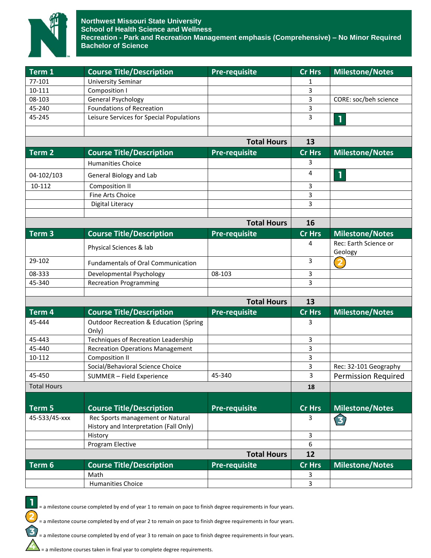

| 77-101<br><b>University Seminar</b><br>1<br>10-111<br>3<br>Composition I<br>3<br><b>General Psychology</b><br>08-103<br>CORE: soc/beh science<br>3<br>45-240<br><b>Foundations of Recreation</b><br>3<br>45-245<br>Leisure Services for Special Populations<br>1<br><b>Total Hours</b><br>13<br>Term <sub>2</sub><br><b>Course Title/Description</b><br>Pre-requisite<br><b>Cr Hrs</b><br><b>Milestone/Notes</b><br>3<br><b>Humanities Choice</b><br>4<br>1<br>04-102/103<br>General Biology and Lab<br>10-112<br>3<br><b>Composition II</b><br>3<br>Fine Arts Choice<br>3<br><b>Digital Literacy</b><br><b>Total Hours</b><br>16<br><b>Course Title/Description</b><br><b>Milestone/Notes</b><br>Term <sub>3</sub><br><b>Pre-requisite</b><br><b>Cr Hrs</b><br>Rec: Earth Science or<br>4<br>Physical Sciences & lab<br>Geology<br>29-102<br>3<br>2<br><b>Fundamentals of Oral Communication</b><br>08-333<br>Developmental Psychology<br>08-103<br>3<br>3<br>45-340<br><b>Recreation Programming</b><br><b>Total Hours</b><br>13<br><b>Cr Hrs</b><br><b>Milestone/Notes</b><br>Term 4<br><b>Course Title/Description</b><br><b>Pre-requisite</b><br><b>Outdoor Recreation &amp; Education (Spring</b><br>45-444<br>3<br>Only)<br><b>Techniques of Recreation Leadership</b><br>45-443<br>3<br>45-440<br>3<br><b>Recreation Operations Management</b><br>10-112<br><b>Composition II</b><br>3<br>Social/Behavioral Science Choice<br>3<br>Rec: 32-101 Geography<br>3<br>45-450<br>45-340<br>SUMMER - Field Experience<br><b>Permission Required</b><br><b>Total Hours</b><br>18<br><b>Course Title/Description</b><br><b>Pre-requisite</b><br>Term 5<br><b>Milestone/Notes</b><br><b>Cr Hrs</b><br>Rec Sports management or Natural<br>45-533/45-xxx<br>3<br>3<br>History and Interpretation (Fall Only)<br>3<br>History<br>Program Elective<br>6<br><b>Total Hours</b><br>12<br>Term 6<br><b>Course Title/Description</b><br><b>Pre-requisite</b><br><b>Cr Hrs</b><br><b>Milestone/Notes</b><br>Math<br>3 | Term 1 | <b>Course Title/Description</b> | <b>Pre-requisite</b> | <b>Cr Hrs</b> | <b>Milestone/Notes</b> |
|-------------------------------------------------------------------------------------------------------------------------------------------------------------------------------------------------------------------------------------------------------------------------------------------------------------------------------------------------------------------------------------------------------------------------------------------------------------------------------------------------------------------------------------------------------------------------------------------------------------------------------------------------------------------------------------------------------------------------------------------------------------------------------------------------------------------------------------------------------------------------------------------------------------------------------------------------------------------------------------------------------------------------------------------------------------------------------------------------------------------------------------------------------------------------------------------------------------------------------------------------------------------------------------------------------------------------------------------------------------------------------------------------------------------------------------------------------------------------------------------------------------------------------------------------------------------------------------------------------------------------------------------------------------------------------------------------------------------------------------------------------------------------------------------------------------------------------------------------------------------------------------------------------------------------------------------------------------------------------------------------------------|--------|---------------------------------|----------------------|---------------|------------------------|
|                                                                                                                                                                                                                                                                                                                                                                                                                                                                                                                                                                                                                                                                                                                                                                                                                                                                                                                                                                                                                                                                                                                                                                                                                                                                                                                                                                                                                                                                                                                                                                                                                                                                                                                                                                                                                                                                                                                                                                                                             |        |                                 |                      |               |                        |
|                                                                                                                                                                                                                                                                                                                                                                                                                                                                                                                                                                                                                                                                                                                                                                                                                                                                                                                                                                                                                                                                                                                                                                                                                                                                                                                                                                                                                                                                                                                                                                                                                                                                                                                                                                                                                                                                                                                                                                                                             |        |                                 |                      |               |                        |
|                                                                                                                                                                                                                                                                                                                                                                                                                                                                                                                                                                                                                                                                                                                                                                                                                                                                                                                                                                                                                                                                                                                                                                                                                                                                                                                                                                                                                                                                                                                                                                                                                                                                                                                                                                                                                                                                                                                                                                                                             |        |                                 |                      |               |                        |
|                                                                                                                                                                                                                                                                                                                                                                                                                                                                                                                                                                                                                                                                                                                                                                                                                                                                                                                                                                                                                                                                                                                                                                                                                                                                                                                                                                                                                                                                                                                                                                                                                                                                                                                                                                                                                                                                                                                                                                                                             |        |                                 |                      |               |                        |
|                                                                                                                                                                                                                                                                                                                                                                                                                                                                                                                                                                                                                                                                                                                                                                                                                                                                                                                                                                                                                                                                                                                                                                                                                                                                                                                                                                                                                                                                                                                                                                                                                                                                                                                                                                                                                                                                                                                                                                                                             |        |                                 |                      |               |                        |
|                                                                                                                                                                                                                                                                                                                                                                                                                                                                                                                                                                                                                                                                                                                                                                                                                                                                                                                                                                                                                                                                                                                                                                                                                                                                                                                                                                                                                                                                                                                                                                                                                                                                                                                                                                                                                                                                                                                                                                                                             |        |                                 |                      |               |                        |
|                                                                                                                                                                                                                                                                                                                                                                                                                                                                                                                                                                                                                                                                                                                                                                                                                                                                                                                                                                                                                                                                                                                                                                                                                                                                                                                                                                                                                                                                                                                                                                                                                                                                                                                                                                                                                                                                                                                                                                                                             |        |                                 |                      |               |                        |
|                                                                                                                                                                                                                                                                                                                                                                                                                                                                                                                                                                                                                                                                                                                                                                                                                                                                                                                                                                                                                                                                                                                                                                                                                                                                                                                                                                                                                                                                                                                                                                                                                                                                                                                                                                                                                                                                                                                                                                                                             |        |                                 |                      |               |                        |
|                                                                                                                                                                                                                                                                                                                                                                                                                                                                                                                                                                                                                                                                                                                                                                                                                                                                                                                                                                                                                                                                                                                                                                                                                                                                                                                                                                                                                                                                                                                                                                                                                                                                                                                                                                                                                                                                                                                                                                                                             |        |                                 |                      |               |                        |
|                                                                                                                                                                                                                                                                                                                                                                                                                                                                                                                                                                                                                                                                                                                                                                                                                                                                                                                                                                                                                                                                                                                                                                                                                                                                                                                                                                                                                                                                                                                                                                                                                                                                                                                                                                                                                                                                                                                                                                                                             |        |                                 |                      |               |                        |
|                                                                                                                                                                                                                                                                                                                                                                                                                                                                                                                                                                                                                                                                                                                                                                                                                                                                                                                                                                                                                                                                                                                                                                                                                                                                                                                                                                                                                                                                                                                                                                                                                                                                                                                                                                                                                                                                                                                                                                                                             |        |                                 |                      |               |                        |
|                                                                                                                                                                                                                                                                                                                                                                                                                                                                                                                                                                                                                                                                                                                                                                                                                                                                                                                                                                                                                                                                                                                                                                                                                                                                                                                                                                                                                                                                                                                                                                                                                                                                                                                                                                                                                                                                                                                                                                                                             |        |                                 |                      |               |                        |
|                                                                                                                                                                                                                                                                                                                                                                                                                                                                                                                                                                                                                                                                                                                                                                                                                                                                                                                                                                                                                                                                                                                                                                                                                                                                                                                                                                                                                                                                                                                                                                                                                                                                                                                                                                                                                                                                                                                                                                                                             |        |                                 |                      |               |                        |
|                                                                                                                                                                                                                                                                                                                                                                                                                                                                                                                                                                                                                                                                                                                                                                                                                                                                                                                                                                                                                                                                                                                                                                                                                                                                                                                                                                                                                                                                                                                                                                                                                                                                                                                                                                                                                                                                                                                                                                                                             |        |                                 |                      |               |                        |
|                                                                                                                                                                                                                                                                                                                                                                                                                                                                                                                                                                                                                                                                                                                                                                                                                                                                                                                                                                                                                                                                                                                                                                                                                                                                                                                                                                                                                                                                                                                                                                                                                                                                                                                                                                                                                                                                                                                                                                                                             |        |                                 |                      |               |                        |
|                                                                                                                                                                                                                                                                                                                                                                                                                                                                                                                                                                                                                                                                                                                                                                                                                                                                                                                                                                                                                                                                                                                                                                                                                                                                                                                                                                                                                                                                                                                                                                                                                                                                                                                                                                                                                                                                                                                                                                                                             |        |                                 |                      |               |                        |
|                                                                                                                                                                                                                                                                                                                                                                                                                                                                                                                                                                                                                                                                                                                                                                                                                                                                                                                                                                                                                                                                                                                                                                                                                                                                                                                                                                                                                                                                                                                                                                                                                                                                                                                                                                                                                                                                                                                                                                                                             |        |                                 |                      |               |                        |
|                                                                                                                                                                                                                                                                                                                                                                                                                                                                                                                                                                                                                                                                                                                                                                                                                                                                                                                                                                                                                                                                                                                                                                                                                                                                                                                                                                                                                                                                                                                                                                                                                                                                                                                                                                                                                                                                                                                                                                                                             |        |                                 |                      |               |                        |
|                                                                                                                                                                                                                                                                                                                                                                                                                                                                                                                                                                                                                                                                                                                                                                                                                                                                                                                                                                                                                                                                                                                                                                                                                                                                                                                                                                                                                                                                                                                                                                                                                                                                                                                                                                                                                                                                                                                                                                                                             |        |                                 |                      |               |                        |
|                                                                                                                                                                                                                                                                                                                                                                                                                                                                                                                                                                                                                                                                                                                                                                                                                                                                                                                                                                                                                                                                                                                                                                                                                                                                                                                                                                                                                                                                                                                                                                                                                                                                                                                                                                                                                                                                                                                                                                                                             |        |                                 |                      |               |                        |
|                                                                                                                                                                                                                                                                                                                                                                                                                                                                                                                                                                                                                                                                                                                                                                                                                                                                                                                                                                                                                                                                                                                                                                                                                                                                                                                                                                                                                                                                                                                                                                                                                                                                                                                                                                                                                                                                                                                                                                                                             |        |                                 |                      |               |                        |
|                                                                                                                                                                                                                                                                                                                                                                                                                                                                                                                                                                                                                                                                                                                                                                                                                                                                                                                                                                                                                                                                                                                                                                                                                                                                                                                                                                                                                                                                                                                                                                                                                                                                                                                                                                                                                                                                                                                                                                                                             |        |                                 |                      |               |                        |
|                                                                                                                                                                                                                                                                                                                                                                                                                                                                                                                                                                                                                                                                                                                                                                                                                                                                                                                                                                                                                                                                                                                                                                                                                                                                                                                                                                                                                                                                                                                                                                                                                                                                                                                                                                                                                                                                                                                                                                                                             |        |                                 |                      |               |                        |
|                                                                                                                                                                                                                                                                                                                                                                                                                                                                                                                                                                                                                                                                                                                                                                                                                                                                                                                                                                                                                                                                                                                                                                                                                                                                                                                                                                                                                                                                                                                                                                                                                                                                                                                                                                                                                                                                                                                                                                                                             |        |                                 |                      |               |                        |
|                                                                                                                                                                                                                                                                                                                                                                                                                                                                                                                                                                                                                                                                                                                                                                                                                                                                                                                                                                                                                                                                                                                                                                                                                                                                                                                                                                                                                                                                                                                                                                                                                                                                                                                                                                                                                                                                                                                                                                                                             |        |                                 |                      |               |                        |
|                                                                                                                                                                                                                                                                                                                                                                                                                                                                                                                                                                                                                                                                                                                                                                                                                                                                                                                                                                                                                                                                                                                                                                                                                                                                                                                                                                                                                                                                                                                                                                                                                                                                                                                                                                                                                                                                                                                                                                                                             |        |                                 |                      |               |                        |
|                                                                                                                                                                                                                                                                                                                                                                                                                                                                                                                                                                                                                                                                                                                                                                                                                                                                                                                                                                                                                                                                                                                                                                                                                                                                                                                                                                                                                                                                                                                                                                                                                                                                                                                                                                                                                                                                                                                                                                                                             |        |                                 |                      |               |                        |
|                                                                                                                                                                                                                                                                                                                                                                                                                                                                                                                                                                                                                                                                                                                                                                                                                                                                                                                                                                                                                                                                                                                                                                                                                                                                                                                                                                                                                                                                                                                                                                                                                                                                                                                                                                                                                                                                                                                                                                                                             |        |                                 |                      |               |                        |
|                                                                                                                                                                                                                                                                                                                                                                                                                                                                                                                                                                                                                                                                                                                                                                                                                                                                                                                                                                                                                                                                                                                                                                                                                                                                                                                                                                                                                                                                                                                                                                                                                                                                                                                                                                                                                                                                                                                                                                                                             |        |                                 |                      |               |                        |
|                                                                                                                                                                                                                                                                                                                                                                                                                                                                                                                                                                                                                                                                                                                                                                                                                                                                                                                                                                                                                                                                                                                                                                                                                                                                                                                                                                                                                                                                                                                                                                                                                                                                                                                                                                                                                                                                                                                                                                                                             |        |                                 |                      |               |                        |
|                                                                                                                                                                                                                                                                                                                                                                                                                                                                                                                                                                                                                                                                                                                                                                                                                                                                                                                                                                                                                                                                                                                                                                                                                                                                                                                                                                                                                                                                                                                                                                                                                                                                                                                                                                                                                                                                                                                                                                                                             |        |                                 |                      |               |                        |
|                                                                                                                                                                                                                                                                                                                                                                                                                                                                                                                                                                                                                                                                                                                                                                                                                                                                                                                                                                                                                                                                                                                                                                                                                                                                                                                                                                                                                                                                                                                                                                                                                                                                                                                                                                                                                                                                                                                                                                                                             |        |                                 |                      |               |                        |
|                                                                                                                                                                                                                                                                                                                                                                                                                                                                                                                                                                                                                                                                                                                                                                                                                                                                                                                                                                                                                                                                                                                                                                                                                                                                                                                                                                                                                                                                                                                                                                                                                                                                                                                                                                                                                                                                                                                                                                                                             |        |                                 |                      |               |                        |
|                                                                                                                                                                                                                                                                                                                                                                                                                                                                                                                                                                                                                                                                                                                                                                                                                                                                                                                                                                                                                                                                                                                                                                                                                                                                                                                                                                                                                                                                                                                                                                                                                                                                                                                                                                                                                                                                                                                                                                                                             |        |                                 |                      |               |                        |
|                                                                                                                                                                                                                                                                                                                                                                                                                                                                                                                                                                                                                                                                                                                                                                                                                                                                                                                                                                                                                                                                                                                                                                                                                                                                                                                                                                                                                                                                                                                                                                                                                                                                                                                                                                                                                                                                                                                                                                                                             |        |                                 |                      |               |                        |
|                                                                                                                                                                                                                                                                                                                                                                                                                                                                                                                                                                                                                                                                                                                                                                                                                                                                                                                                                                                                                                                                                                                                                                                                                                                                                                                                                                                                                                                                                                                                                                                                                                                                                                                                                                                                                                                                                                                                                                                                             |        |                                 |                      |               |                        |
|                                                                                                                                                                                                                                                                                                                                                                                                                                                                                                                                                                                                                                                                                                                                                                                                                                                                                                                                                                                                                                                                                                                                                                                                                                                                                                                                                                                                                                                                                                                                                                                                                                                                                                                                                                                                                                                                                                                                                                                                             |        |                                 |                      |               |                        |
|                                                                                                                                                                                                                                                                                                                                                                                                                                                                                                                                                                                                                                                                                                                                                                                                                                                                                                                                                                                                                                                                                                                                                                                                                                                                                                                                                                                                                                                                                                                                                                                                                                                                                                                                                                                                                                                                                                                                                                                                             |        |                                 |                      |               |                        |
|                                                                                                                                                                                                                                                                                                                                                                                                                                                                                                                                                                                                                                                                                                                                                                                                                                                                                                                                                                                                                                                                                                                                                                                                                                                                                                                                                                                                                                                                                                                                                                                                                                                                                                                                                                                                                                                                                                                                                                                                             |        | <b>Humanities Choice</b>        |                      | 3             |                        |

= a milestone course completed by end of year 1 to remain on pace to finish degree requirements in four years.

= a milestone course completed by end of year 2 to remain on pace to finish degree requirements in four years.

= a milestone course completed by end of year 3 to remain on pace to finish degree requirements in four years.

= a milestone courses taken in final year to complete degree requirements.

1

 $\overline{\mathbf{2}}$ 

 $\mathbf{E}$